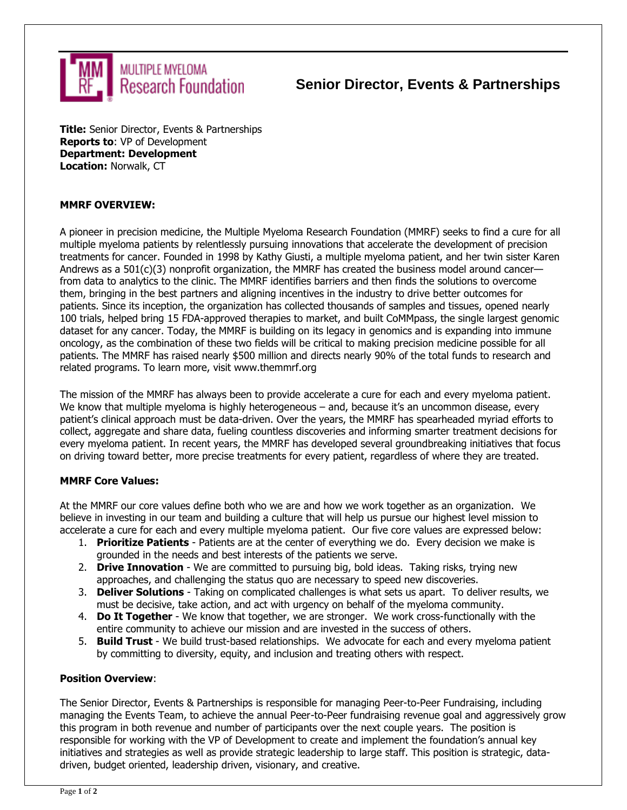

## **Senior Director, Events & Partnerships**

**Title:** Senior Director, Events & Partnerships **Reports to**: VP of Development **Department: Development Location:** Norwalk, CT

## **MMRF OVERVIEW:**

A pioneer in precision medicine, the Multiple Myeloma Research Foundation (MMRF) seeks to find a cure for all multiple myeloma patients by relentlessly pursuing innovations that accelerate the development of precision treatments for cancer. Founded in 1998 by Kathy Giusti, a multiple myeloma patient, and her twin sister Karen Andrews as a 501(c)(3) nonprofit organization, the MMRF has created the business model around cancer from data to analytics to the clinic. The MMRF identifies barriers and then finds the solutions to overcome them, bringing in the best partners and aligning incentives in the industry to drive better outcomes for patients. Since its inception, the organization has collected thousands of samples and tissues, opened nearly 100 trials, helped bring 15 FDA-approved therapies to market, and built CoMMpass, the single largest genomic dataset for any cancer. Today, the MMRF is building on its legacy in genomics and is expanding into immune oncology, as the combination of these two fields will be critical to making precision medicine possible for all patients. The MMRF has raised nearly \$500 million and directs nearly 90% of the total funds to research and related programs. To learn more, visit www.themmrf.org

The mission of the MMRF has always been to provide accelerate a cure for each and every myeloma patient. We know that multiple myeloma is highly heterogeneous – and, because it's an uncommon disease, every patient's clinical approach must be data-driven. Over the years, the MMRF has spearheaded myriad efforts to collect, aggregate and share data, fueling countless discoveries and informing smarter treatment decisions for every myeloma patient. In recent years, the MMRF has developed several groundbreaking initiatives that focus on driving toward better, more precise treatments for every patient, regardless of where they are treated.

### **MMRF Core Values:**

At the MMRF our core values define both who we are and how we work together as an organization. We believe in investing in our team and building a culture that will help us pursue our highest level mission to accelerate a cure for each and every multiple myeloma patient. Our five core values are expressed below:

- 1. **Prioritize Patients**  Patients are at the center of everything we do. Every decision we make is grounded in the needs and best interests of the patients we serve.
- 2. **Drive Innovation**  We are committed to pursuing big, bold ideas. Taking risks, trying new approaches, and challenging the status quo are necessary to speed new discoveries.
- 3. **Deliver Solutions**  Taking on complicated challenges is what sets us apart. To deliver results, we must be decisive, take action, and act with urgency on behalf of the myeloma community.
- 4. **Do It Together**  We know that together, we are stronger. We work cross-functionally with the entire community to achieve our mission and are invested in the success of others.
- 5. **Build Trust**  We build trust-based relationships. We advocate for each and every myeloma patient by committing to diversity, equity, and inclusion and treating others with respect.

### **Position Overview**:

The Senior Director, Events & Partnerships is responsible for managing Peer-to-Peer Fundraising, including managing the Events Team, to achieve the annual Peer-to-Peer fundraising revenue goal and aggressively grow this program in both revenue and number of participants over the next couple years. The position is responsible for working with the VP of Development to create and implement the foundation's annual key initiatives and strategies as well as provide strategic leadership to large staff. This position is strategic, datadriven, budget oriented, leadership driven, visionary, and creative.